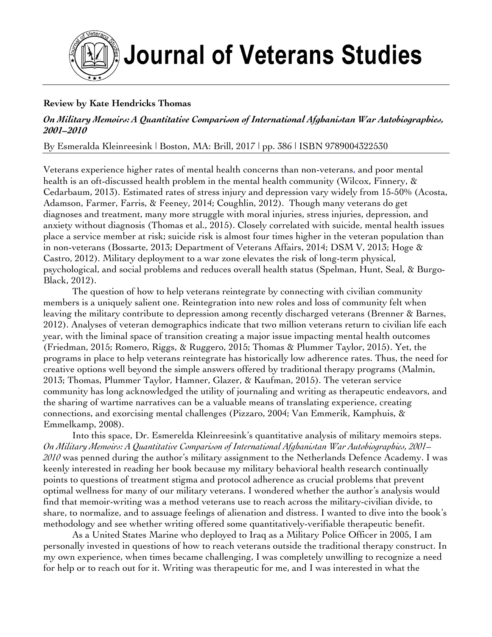

# **Journal of Veterans Studies**

# **Review by Kate Hendricks Thomas**

## *On Military Memoirs: A Quantitative Comparison of International Afghanistan War Autobiographies, 2001–2010*

By Esmeralda Kleinreesink | Boston, MA: Brill, 2017 | pp. 386 | ISBN 9789004322530

Veterans experience higher rates of mental health concerns than non-veterans, and poor mental health is an oft-discussed health problem in the mental health community (Wilcox, Finnery, & Cedarbaum, 2013). Estimated rates of stress injury and depression vary widely from 15-50% (Acosta, Adamson, Farmer, Farris, & Feeney, 2014; Coughlin, 2012). Though many veterans do get diagnoses and treatment, many more struggle with moral injuries, stress injuries, depression, and anxiety without diagnosis (Thomas et al., 2015). Closely correlated with suicide, mental health issues place a service member at risk; suicide risk is almost four times higher in the veteran population than in non-veterans (Bossarte, 2013; Department of Veterans Affairs, 2014; DSM V, 2013; Hoge & Castro, 2012). Military deployment to a war zone elevates the risk of long-term physical, psychological, and social problems and reduces overall health status (Spelman, Hunt, Seal, & Burgo-Black, 2012).

The question of how to help veterans reintegrate by connecting with civilian community members is a uniquely salient one. Reintegration into new roles and loss of community felt when leaving the military contribute to depression among recently discharged veterans (Brenner & Barnes, 2012). Analyses of veteran demographics indicate that two million veterans return to civilian life each year, with the liminal space of transition creating a major issue impacting mental health outcomes (Friedman, 2015; Romero, Riggs, & Ruggero, 2015; Thomas & Plummer Taylor, 2015). Yet, the programs in place to help veterans reintegrate has historically low adherence rates. Thus, the need for creative options well beyond the simple answers offered by traditional therapy programs (Malmin, 2013; Thomas, Plummer Taylor, Hamner, Glazer, & Kaufman, 2015). The veteran service community has long acknowledged the utility of journaling and writing as therapeutic endeavors, and the sharing of wartime narratives can be a valuable means of translating experience, creating connections, and exorcising mental challenges (Pizzaro, 2004; Van Emmerik, Kamphuis, & Emmelkamp, 2008).

Into this space, Dr. Esmerelda Kleinreesink's quantitative analysis of military memoirs steps. *On Military Memoirs: A Quantitative Comparison of International Afghanistan War Autobiographies, 2001– 2010* was penned during the author's military assignment to the Netherlands Defence Academy. I was keenly interested in reading her book because my military behavioral health research continually points to questions of treatment stigma and protocol adherence as crucial problems that prevent optimal wellness for many of our military veterans. I wondered whether the author's analysis would find that memoir-writing was a method veterans use to reach across the military-civilian divide, to share, to normalize, and to assuage feelings of alienation and distress. I wanted to dive into the book's methodology and see whether writing offered some quantitatively-verifiable therapeutic benefit.

As a United States Marine who deployed to Iraq as a Military Police Officer in 2005, I am personally invested in questions of how to reach veterans outside the traditional therapy construct. In my own experience, when times became challenging, I was completely unwilling to recognize a need for help or to reach out for it. Writing was therapeutic for me, and I was interested in what the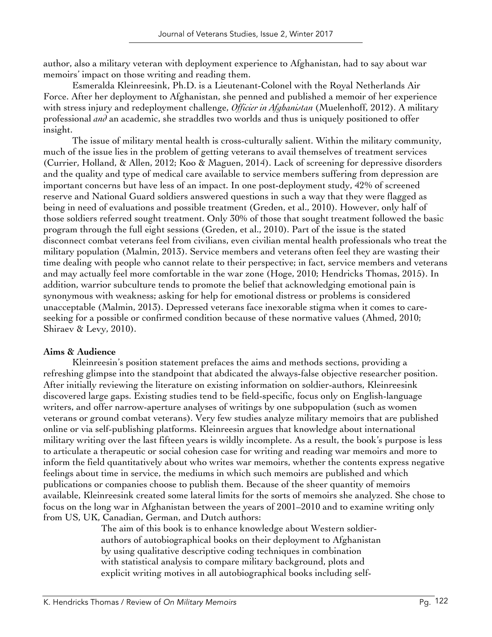author, also a military veteran with deployment experience to Afghanistan, had to say about war memoirs' impact on those writing and reading them.

Esmeralda Kleinreesink, Ph.D. is a Lieutenant-Colonel with the Royal Netherlands Air Force. After her deployment to Afghanistan, she penned and published a memoir of her experience with stress injury and redeployment challenge, *Officier in Afghanistan* (Muelenhoff, 2012). A military professional *and* an academic, she straddles two worlds and thus is uniquely positioned to offer insight.

The issue of military mental health is cross-culturally salient. Within the military community, much of the issue lies in the problem of getting veterans to avail themselves of treatment services (Currier, Holland, & Allen, 2012; Koo & Maguen, 2014). Lack of screening for depressive disorders and the quality and type of medical care available to service members suffering from depression are important concerns but have less of an impact. In one post-deployment study, 42% of screened reserve and National Guard soldiers answered questions in such a way that they were flagged as being in need of evaluations and possible treatment (Greden, et al., 2010). However, only half of those soldiers referred sought treatment. Only 30% of those that sought treatment followed the basic program through the full eight sessions (Greden, et al., 2010). Part of the issue is the stated disconnect combat veterans feel from civilians, even civilian mental health professionals who treat the military population (Malmin, 2013). Service members and veterans often feel they are wasting their time dealing with people who cannot relate to their perspective; in fact, service members and veterans and may actually feel more comfortable in the war zone (Hoge, 2010; Hendricks Thomas, 2015). In addition, warrior subculture tends to promote the belief that acknowledging emotional pain is synonymous with weakness; asking for help for emotional distress or problems is considered unacceptable (Malmin, 2013). Depressed veterans face inexorable stigma when it comes to careseeking for a possible or confirmed condition because of these normative values (Ahmed, 2010; Shiraev & Levy, 2010).

### **Aims & Audience**

Kleinreesin's position statement prefaces the aims and methods sections, providing a refreshing glimpse into the standpoint that abdicated the always-false objective researcher position. After initially reviewing the literature on existing information on soldier-authors, Kleinreesink discovered large gaps. Existing studies tend to be field-specific, focus only on English-language writers, and offer narrow-aperture analyses of writings by one subpopulation (such as women veterans or ground combat veterans). Very few studies analyze military memoirs that are published online or via self-publishing platforms. Kleinreesin argues that knowledge about international military writing over the last fifteen years is wildly incomplete. As a result, the book's purpose is less to articulate a therapeutic or social cohesion case for writing and reading war memoirs and more to inform the field quantitatively about who writes war memoirs, whether the contents express negative feelings about time in service, the mediums in which such memoirs are published and which publications or companies choose to publish them. Because of the sheer quantity of memoirs available, Kleinreesink created some lateral limits for the sorts of memoirs she analyzed. She chose to focus on the long war in Afghanistan between the years of 2001–2010 and to examine writing only from US, UK, Canadian, German, and Dutch authors:

The aim of this book is to enhance knowledge about Western soldierauthors of autobiographical books on their deployment to Afghanistan by using qualitative descriptive coding techniques in combination with statistical analysis to compare military background, plots and explicit writing motives in all autobiographical books including self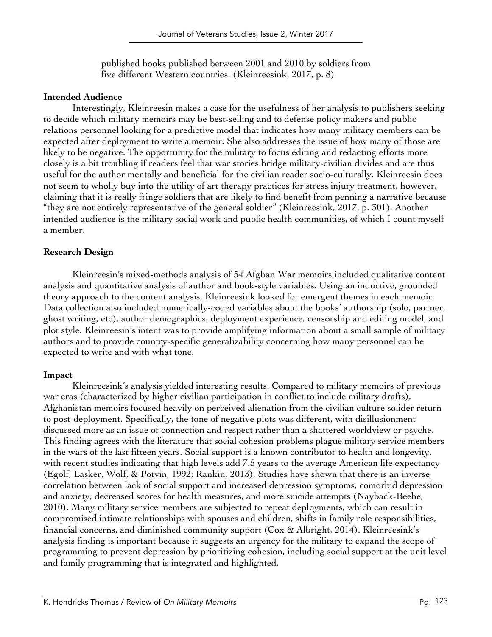published books published between 2001 and 2010 by soldiers from five different Western countries. (Kleinreesink, 2017, p. 8)

### **Intended Audience**

Interestingly, Kleinreesin makes a case for the usefulness of her analysis to publishers seeking to decide which military memoirs may be best-selling and to defense policy makers and public relations personnel looking for a predictive model that indicates how many military members can be expected after deployment to write a memoir. She also addresses the issue of how many of those are likely to be negative. The opportunity for the military to focus editing and redacting efforts more closely is a bit troubling if readers feel that war stories bridge military-civilian divides and are thus useful for the author mentally and beneficial for the civilian reader socio-culturally. Kleinreesin does not seem to wholly buy into the utility of art therapy practices for stress injury treatment, however, claiming that it is really fringe soldiers that are likely to find benefit from penning a narrative because "they are not entirely representative of the general soldier" (Kleinreesink, 2017, p. 301). Another intended audience is the military social work and public health communities, of which I count myself a member.

## **Research Design**

Kleinreesin's mixed-methods analysis of 54 Afghan War memoirs included qualitative content analysis and quantitative analysis of author and book-style variables. Using an inductive, grounded theory approach to the content analysis, Kleinreesink looked for emergent themes in each memoir. Data collection also included numerically-coded variables about the books' authorship (solo, partner, ghost writing, etc), author demographics, deployment experience, censorship and editing model, and plot style. Kleinreesin's intent was to provide amplifying information about a small sample of military authors and to provide country-specific generalizability concerning how many personnel can be expected to write and with what tone.

## **Impact**

Kleinreesink's analysis yielded interesting results. Compared to military memoirs of previous war eras (characterized by higher civilian participation in conflict to include military drafts), Afghanistan memoirs focused heavily on perceived alienation from the civilian culture solider return to post-deployment. Specifically, the tone of negative plots was different, with disillusionment discussed more as an issue of connection and respect rather than a shattered worldview or psyche. This finding agrees with the literature that social cohesion problems plague military service members in the wars of the last fifteen years. Social support is a known contributor to health and longevity, with recent studies indicating that high levels add 7.5 years to the average American life expectancy (Egolf, Lasker, Wolf, & Potvin, 1992; Rankin, 2013). Studies have shown that there is an inverse correlation between lack of social support and increased depression symptoms, comorbid depression and anxiety, decreased scores for health measures, and more suicide attempts (Nayback-Beebe, 2010). Many military service members are subjected to repeat deployments, which can result in compromised intimate relationships with spouses and children, shifts in family role responsibilities, financial concerns, and diminished community support (Cox & Albright, 2014). Kleinreesink's analysis finding is important because it suggests an urgency for the military to expand the scope of programming to prevent depression by prioritizing cohesion, including social support at the unit level and family programming that is integrated and highlighted.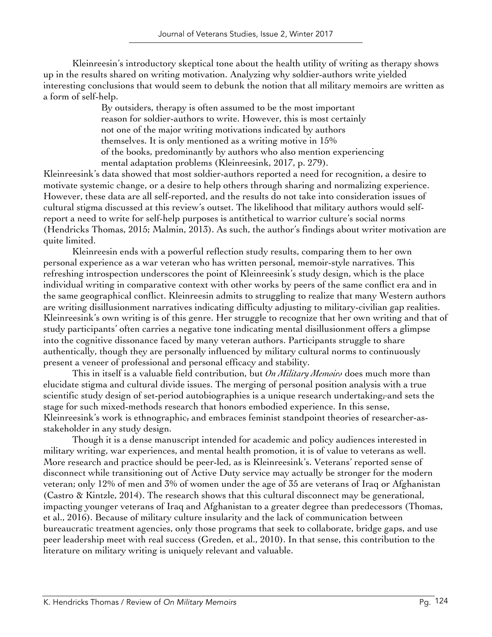Kleinreesin's introductory skeptical tone about the health utility of writing as therapy shows up in the results shared on writing motivation. Analyzing why soldier-authors write yielded interesting conclusions that would seem to debunk the notion that all military memoirs are written as a form of self-help.

By outsiders, therapy is often assumed to be the most important reason for soldier-authors to write. However, this is most certainly not one of the major writing motivations indicated by authors themselves. It is only mentioned as a writing motive in 15% of the books, predominantly by authors who also mention experiencing mental adaptation problems (Kleinreesink, 2017, p. 279).

Kleinreesink's data showed that most soldier-authors reported a need for recognition, a desire to motivate systemic change, or a desire to help others through sharing and normalizing experience. However, these data are all self-reported, and the results do not take into consideration issues of cultural stigma discussed at this review's outset. The likelihood that military authors would selfreport a need to write for self-help purposes is antithetical to warrior culture's social norms (Hendricks Thomas, 2015; Malmin, 2013). As such, the author's findings about writer motivation are quite limited.

Kleinreesin ends with a powerful reflection study results, comparing them to her own personal experience as a war veteran who has written personal, memoir-style narratives. This refreshing introspection underscores the point of Kleinreesink's study design, which is the place individual writing in comparative context with other works by peers of the same conflict era and in the same geographical conflict. Kleinreesin admits to struggling to realize that many Western authors are writing disillusionment narratives indicating difficulty adjusting to military-civilian gap realities. Kleinreesink's own writing is of this genre. Her struggle to recognize that her own writing and that of study participants' often carries a negative tone indicating mental disillusionment offers a glimpse into the cognitive dissonance faced by many veteran authors. Participants struggle to share authentically, though they are personally influenced by military cultural norms to continuously present a veneer of professional and personal efficacy and stability.

This in itself is a valuable field contribution, but *On Military Memoirs* does much more than elucidate stigma and cultural divide issues. The merging of personal position analysis with a true scientific study design of set-period autobiographies is a unique research undertaking, and sets the stage for such mixed-methods research that honors embodied experience. In this sense, Kleinreesink's work is ethnographic, and embraces feminist standpoint theories of researcher-asstakeholder in any study design.

Though it is a dense manuscript intended for academic and policy audiences interested in military writing, war experiences, and mental health promotion, it is of value to veterans as well. More research and practice should be peer-led, as is Kleinreesink's. Veterans' reported sense of disconnect while transitioning out of Active Duty service may actually be stronger for the modern veteran; only 12% of men and 3% of women under the age of 35 are veterans of Iraq or Afghanistan (Castro & Kintzle, 2014). The research shows that this cultural disconnect may be generational, impacting younger veterans of Iraq and Afghanistan to a greater degree than predecessors (Thomas, et al., 2016). Because of military culture insularity and the lack of communication between bureaucratic treatment agencies, only those programs that seek to collaborate, bridge gaps, and use peer leadership meet with real success (Greden, et al., 2010). In that sense, this contribution to the literature on military writing is uniquely relevant and valuable.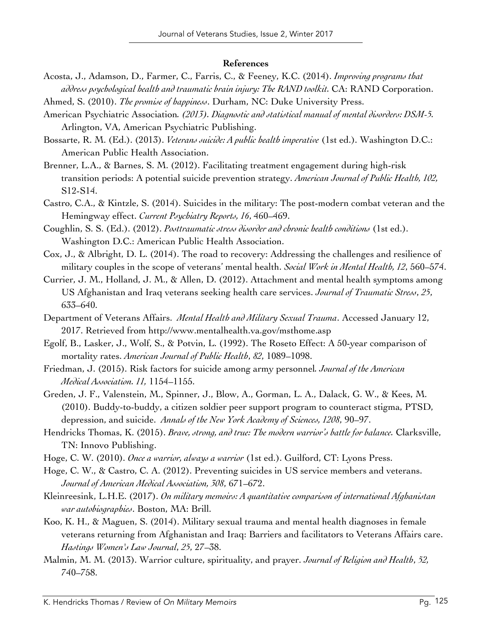#### **References**

- Acosta, J., Adamson, D., Farmer, C., Farris, C., & Feeney, K.C. (2014). *Improving programs that address psychological health and traumatic brain injury: The RAND toolkit.* CA: RAND Corporation.
- Ahmed, S. (2010). *The promise of happiness*. Durham, NC: Duke University Press.
- American Psychiatric Association*. (2013). Diagnostic and statistical manual of mental disorders: DSM-5.* Arlington, VA, American Psychiatric Publishing.
- Bossarte, R. M. (Ed.). (2013). *Veterans suicide: A public health imperative* (1st ed.). Washington D.C.: American Public Health Association.
- Brenner, L.A., & Barnes, S. M. (2012). Facilitating treatment engagement during high-risk transition periods: A potential suicide prevention strategy. *American Journal of Public Health, 102,*  S12-S14.
- Castro, C.A., & Kintzle, S. (2014). Suicides in the military: The post-modern combat veteran and the Hemingway effect. *Current Psychiatry Reports, 16*, 460–469.
- Coughlin, S. S. (Ed.). (2012). *Posttraumatic stress disorder and chronic health conditions* (1st ed.). Washington D.C.: American Public Health Association.
- Cox, J., & Albright, D. L. (2014). The road to recovery: Addressing the challenges and resilience of military couples in the scope of veterans' mental health. *Social Work in Mental Health, 12*, 560–574.
- Currier, J. M., Holland, J. M., & Allen, D. (2012). Attachment and mental health symptoms among US Afghanistan and Iraq veterans seeking health care services. *Journal of Traumatic Stress*, *25*, 633–640.
- Department of Veterans Affairs. *Mental Health and Military Sexual Trauma*. Accessed January 12, 2017. Retrieved from http://www.mentalhealth.va.gov/msthome.asp
- Egolf, B., Lasker, J., Wolf, S., & Potvin, L. (1992). The Roseto Effect: A 50-year comparison of mortality rates. *American Journal of Public Health*, *82*, 1089–1098.
- Friedman, J. (2015). Risk factors for suicide among army personnel*. Journal of the American Medical Association. 11,* 1154–1155.
- Greden, J. F., Valenstein, M., Spinner, J., Blow, A., Gorman, L. A., Dalack, G. W., & Kees, M. (2010). Buddy-to-buddy, a citizen soldier peer support program to counteract stigma, PTSD, depression, and suicide. *Annals of the New York Academy of Sciences, 1208*, 90–97.
- Hendricks Thomas, K. (2015). *Brave, strong, and true: The modern warrior's battle for balance.* Clarksville, TN: Innovo Publishing.
- Hoge, C. W. (2010). *Once a warrior, always a warrior* (1st ed.). Guilford, CT: Lyons Press.
- Hoge, C. W., & Castro, C. A. (2012). Preventing suicides in US service members and veterans. *Journal of American Medical Association, 308*, 671–672.
- Kleinreesink, L.H.E. (2017). *On military memoirs: A quantitative comparison of international Afghanistan war autobiographies*. Boston, MA: Brill.
- Koo, K. H., & Maguen, S. (2014). Military sexual trauma and mental health diagnoses in female veterans returning from Afghanistan and Iraq: Barriers and facilitators to Veterans Affairs care. *Hastings Women's Law Journal*, *25*, 27–38.
- Malmin, M. M. (2013). Warrior culture, spirituality, and prayer. *Journal of Religion and Health*, *52,*  740–758.